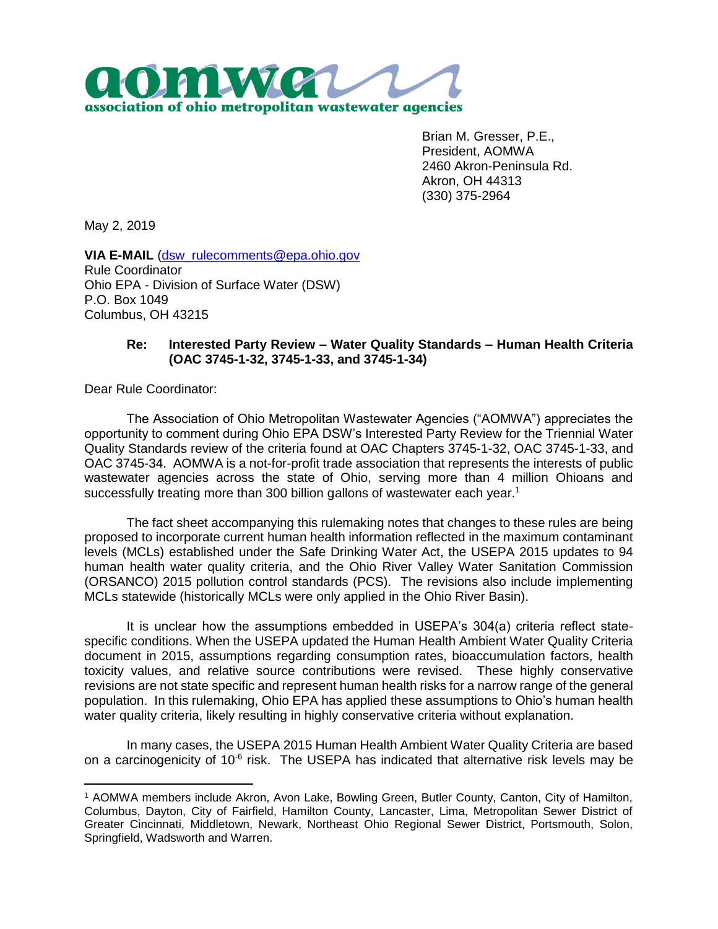

Brian M. Gresser, P.E., President, AOMWA 2460 Akron-Peninsula Rd. Akron, OH 44313 (330) 375-2964

May 2, 2019

**VIA E-MAIL** [\(dsw\\_rulecomments@epa.ohio.gov](mailto:dsw_rulecomments@epa.ohio.gov) Rule Coordinator Ohio EPA - Division of Surface Water (DSW) P.O. Box 1049 Columbus, OH 43215

## **Re: Interested Party Review – Water Quality Standards – Human Health Criteria (OAC 3745-1-32, 3745-1-33, and 3745-1-34)**

Dear Rule Coordinator:

 $\overline{a}$ 

The Association of Ohio Metropolitan Wastewater Agencies ("AOMWA") appreciates the opportunity to comment during Ohio EPA DSW's Interested Party Review for the Triennial Water Quality Standards review of the criteria found at OAC Chapters 3745-1-32, OAC 3745-1-33, and OAC 3745-34. AOMWA is a not-for-profit trade association that represents the interests of public wastewater agencies across the state of Ohio, serving more than 4 million Ohioans and successfully treating more than 300 billion gallons of wastewater each year.<sup>1</sup>

The fact sheet accompanying this rulemaking notes that changes to these rules are being proposed to incorporate current human health information reflected in the maximum contaminant levels (MCLs) established under the Safe Drinking Water Act, the USEPA 2015 updates to 94 human health water quality criteria, and the Ohio River Valley Water Sanitation Commission (ORSANCO) 2015 pollution control standards (PCS). The revisions also include implementing MCLs statewide (historically MCLs were only applied in the Ohio River Basin).

It is unclear how the assumptions embedded in USEPA's 304(a) criteria reflect statespecific conditions. When the USEPA updated the Human Health Ambient Water Quality Criteria document in 2015, assumptions regarding consumption rates, bioaccumulation factors, health toxicity values, and relative source contributions were revised. These highly conservative revisions are not state specific and represent human health risks for a narrow range of the general population. In this rulemaking, Ohio EPA has applied these assumptions to Ohio's human health water quality criteria, likely resulting in highly conservative criteria without explanation.

In many cases, the USEPA 2015 Human Health Ambient Water Quality Criteria are based on a carcinogenicity of 10 $6$  risk. The USEPA has indicated that alternative risk levels may be

<sup>1</sup> AOMWA members include Akron, Avon Lake, Bowling Green, Butler County, Canton, City of Hamilton, Columbus, Dayton, City of Fairfield, Hamilton County, Lancaster, Lima, Metropolitan Sewer District of Greater Cincinnati, Middletown, Newark, Northeast Ohio Regional Sewer District, Portsmouth, Solon, Springfield, Wadsworth and Warren.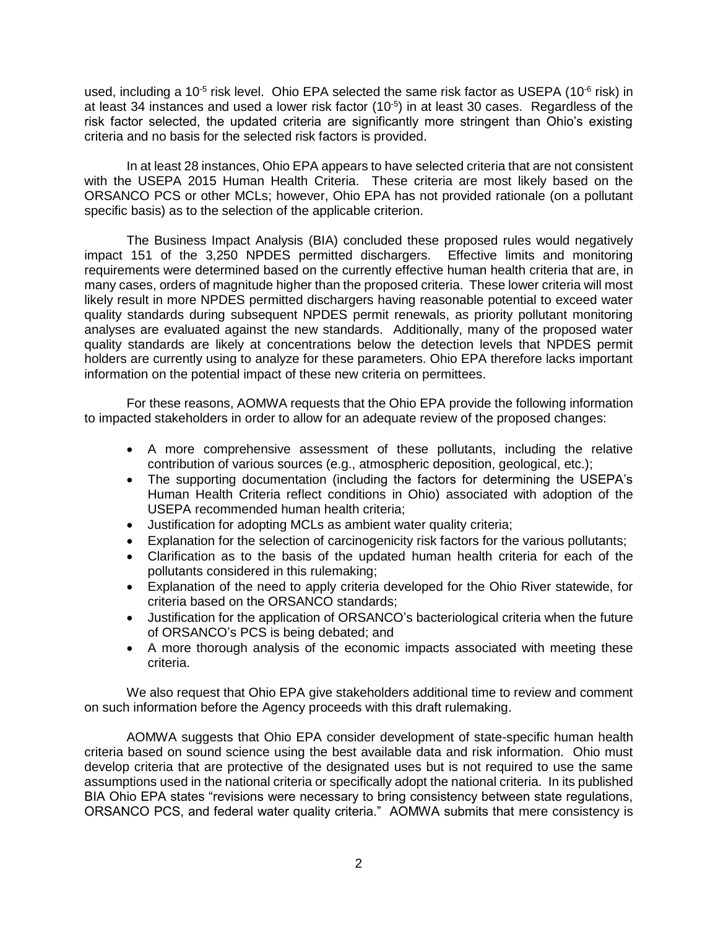used, including a 10<sup>-5</sup> risk level. Ohio EPA selected the same risk factor as USEPA (10 $\textdegree$  risk) in at least 34 instances and used a lower risk factor  $(10^{-5})$  in at least 30 cases. Regardless of the risk factor selected, the updated criteria are significantly more stringent than Ohio's existing criteria and no basis for the selected risk factors is provided.

In at least 28 instances, Ohio EPA appears to have selected criteria that are not consistent with the USEPA 2015 Human Health Criteria. These criteria are most likely based on the ORSANCO PCS or other MCLs; however, Ohio EPA has not provided rationale (on a pollutant specific basis) as to the selection of the applicable criterion.

The Business Impact Analysis (BIA) concluded these proposed rules would negatively impact 151 of the 3,250 NPDES permitted dischargers. Effective limits and monitoring requirements were determined based on the currently effective human health criteria that are, in many cases, orders of magnitude higher than the proposed criteria. These lower criteria will most likely result in more NPDES permitted dischargers having reasonable potential to exceed water quality standards during subsequent NPDES permit renewals, as priority pollutant monitoring analyses are evaluated against the new standards. Additionally, many of the proposed water quality standards are likely at concentrations below the detection levels that NPDES permit holders are currently using to analyze for these parameters. Ohio EPA therefore lacks important information on the potential impact of these new criteria on permittees.

For these reasons, AOMWA requests that the Ohio EPA provide the following information to impacted stakeholders in order to allow for an adequate review of the proposed changes:

- A more comprehensive assessment of these pollutants, including the relative contribution of various sources (e.g., atmospheric deposition, geological, etc.);
- The supporting documentation (including the factors for determining the USEPA's Human Health Criteria reflect conditions in Ohio) associated with adoption of the USEPA recommended human health criteria;
- Justification for adopting MCLs as ambient water quality criteria;
- Explanation for the selection of carcinogenicity risk factors for the various pollutants;
- Clarification as to the basis of the updated human health criteria for each of the pollutants considered in this rulemaking;
- Explanation of the need to apply criteria developed for the Ohio River statewide, for criteria based on the ORSANCO standards;
- Justification for the application of ORSANCO's bacteriological criteria when the future of ORSANCO's PCS is being debated; and
- A more thorough analysis of the economic impacts associated with meeting these criteria.

We also request that Ohio EPA give stakeholders additional time to review and comment on such information before the Agency proceeds with this draft rulemaking.

AOMWA suggests that Ohio EPA consider development of state-specific human health criteria based on sound science using the best available data and risk information. Ohio must develop criteria that are protective of the designated uses but is not required to use the same assumptions used in the national criteria or specifically adopt the national criteria. In its published BIA Ohio EPA states "revisions were necessary to bring consistency between state regulations, ORSANCO PCS, and federal water quality criteria." AOMWA submits that mere consistency is